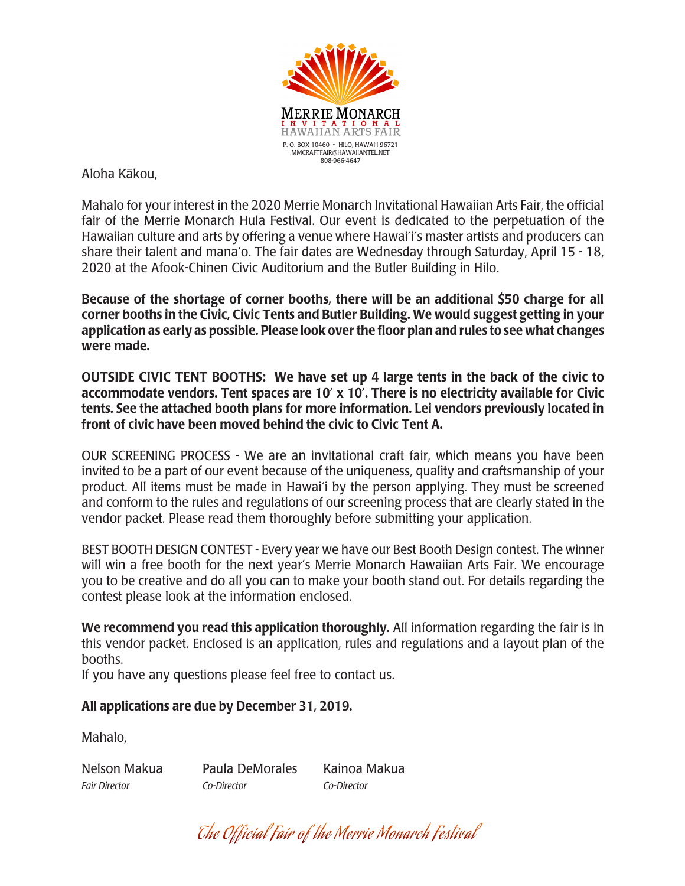

Aloha Käkou,

Mahalo for your interest in the 2020 Merrie Monarch Invitational Hawaiian Arts Fair, the official fair of the Merrie Monarch Hula Festival. Our event is dedicated to the perpetuation of the Hawaiian culture and arts by offering a venue where Hawai'i's master artists and producers can share their talent and mana'o. The fair dates are Wednesday through Saturday, April 15 - 18, 2020 at the Afook-Chinen Civic Auditorium and the Butler Building in Hilo.

Because of the shortage of corner booths, there will be an additional \$50 charge for all corner booths in the Civic, Civic Tents and Butler Building. We would suggest getting in your application as early as possible. Please look over the floor plan and rules to see what changes were made.

OUTSIDE CIVIC TENT BOOTHS: We have set up 4 large tents in the back of the civic to accommodate vendors. Tent spaces are 10' x 10'. There is no electricity available for Civic tents. See the attached booth plans for more information. Lei vendors previously located in front of civic have been moved behind the civic to Civic Tent A.

OUR SCREENING PROCESS - We are an invitational craft fair, which means you have been invited to be a part of our event because of the uniqueness, quality and craftsmanship of your product. All items must be made in Hawai'i by the person applying. They must be screened and conform to the rules and regulations of our screening process that are clearly stated in the vendor packet. Please read them thoroughly before submitting your application.

BEST BOOTH DESIGN CONTEST - Every year we have our Best Booth Design contest. The winner will win a free booth for the next year's Merrie Monarch Hawaiian Arts Fair. We encourage you to be creative and do all you can to make your booth stand out. For details regarding the contest please look at the information enclosed.

We recommend you read this application thoroughly. All information regarding the fair is in this vendor packet. Enclosed is an application, rules and regulations and a layout plan of the booths.

If you have any questions please feel free to contact us.

# All applications are due by December 31, 2019.

Mahalo,

Nelson Makua Paula DeMorales Kainoa Makua *Fair Director Co-Director Co-Director*

The Official Fair of the Merrie Monarch Festival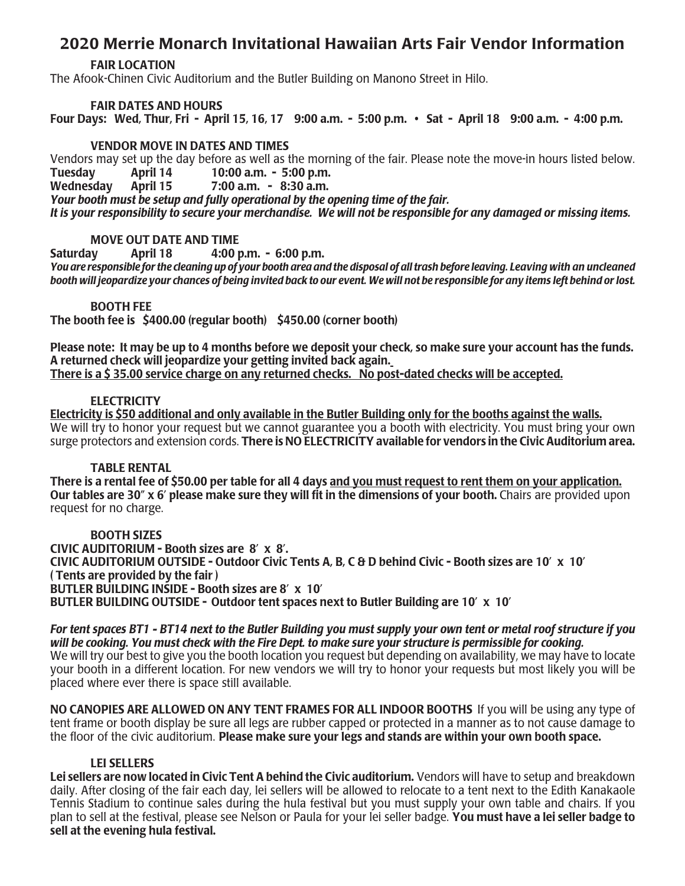# 2020 Merrie Monarch Invitational Hawaiian Arts Fair Vendor Information

#### FAIR LOCATION

The Afook-Chinen Civic Auditorium and the Butler Building on Manono Street in Hilo.

## FAIR DATES AND HOURS

Four Days: Wed, Thur, Fri - April 15, 16, 17 9:00 a.m. - 5:00 p.m. • Sat - April 18 9:00 a.m. - 4:00 p.m.

### VENDOR MOVE IN DATES AND TIMES

Vendors may set up the day before as well as the morning of the fair. Please note the move-in hours listed below. Tuesday April 14 10:00 a.m. - 5:00 p.m. Wednesday April 15 7:00 a.m. - 8:30 a.m. *Your booth must be setup and fully operational by the opening time of the fair. It is your responsibility to secure your merchandise. We will not be responsible for any damaged or missing items.*

### MOVE OUT DATE AND TIME

Saturday April 18 4:00 p.m. - 6:00 p.m.

*You are responsible for the cleaning up of your booth area and the disposal of all trash before leaving. Leaving with an uncleaned booth will jeopardize your chances of being invited back to our event. We will not be responsible for any items left behind or lost.*

### BOOTH FEE

The booth fee is \$400.00 (regular booth) \$450.00 (corner booth)

Please note: It may be up to 4 months before we deposit your check, so make sure your account has the funds. A returned check will jeopardize your getting invited back again. There is a \$ 35.00 service charge on any returned checks. No post-dated checks will be accepted.

### **ELECTRICITY**

Electricity is \$50 additional and only available in the Butler Building only for the booths against the walls. We will try to honor your request but we cannot guarantee you a booth with electricity. You must bring your own surge protectors and extension cords. There is NO ELECTRICITY available for vendors in the Civic Auditorium area.

#### TABLE RENTAL

There is a rental fee of \$50.00 per table for all 4 days and you must request to rent them on your application. Our tables are 30" x 6' please make sure they will fit in the dimensions of your booth. Chairs are provided upon request for no charge.

# BOOTH SIZES

CIVIC AUDITORIUM - Booth sizes are 8' x 8'. CIVIC AUDITORIUM OUTSIDE - Outdoor Civic Tents A, B, C & D behind Civic - Booth sizes are 10' x 10' ( Tents are provided by the fair ) BUTLER BUILDING INSIDE - Booth sizes are 8' x 10' BUTLER BUILDING OUTSIDE - Outdoor tent spaces next to Butler Building are  $10' \times 10'$ 

*For tent spaces BT1 - BT14 next to the Butler Building you must supply your own tent or metal roof structure if you will be cooking. You must check with the Fire Dept. to make sure your structure is permissible for cooking.*  We will try our best to give you the booth location you request but depending on availability, we may have to locate your booth in a different location. For new vendors we will try to honor your requests but most likely you will be placed where ever there is space still available.

NO CANOPIES ARE ALLOWED ON ANY TENT FRAMES FOR ALL INDOOR BOOTHS If you will be using any type of tent frame or booth display be sure all legs are rubber capped or protected in a manner as to not cause damage to the floor of the civic auditorium. Please make sure your legs and stands are within your own booth space.

#### LEI SELLERS

Lei sellers are now located in Civic Tent A behind the Civic auditorium. Vendors will have to setup and breakdown daily. After closing of the fair each day, lei sellers will be allowed to relocate to a tent next to the Edith Kanakaole Tennis Stadium to continue sales during the hula festival but you must supply your own table and chairs. If you plan to sell at the festival, please see Nelson or Paula for your lei seller badge. You must have a lei seller badge to sell at the evening hula festival.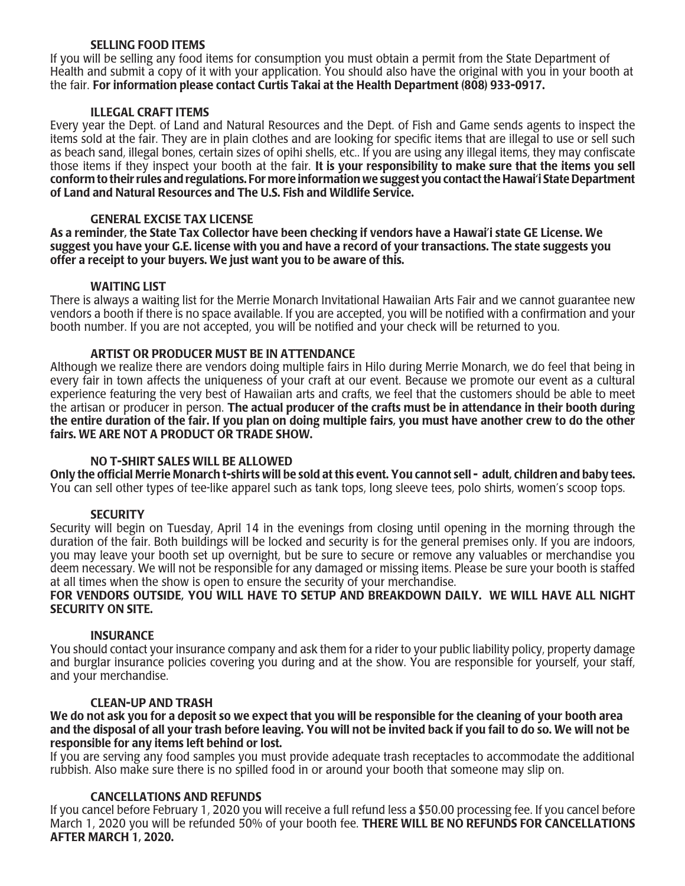### SELLING FOOD ITEMS

If you will be selling any food items for consumption you must obtain a permit from the State Department of Health and submit a copy of it with your application. You should also have the original with you in your booth at the fair. For information please contact Curtis Takai at the Health Department (808) 933-0917.

#### ILLEGAL CRAFT ITEMS

Every year the Dept. of Land and Natural Resources and the Dept. of Fish and Game sends agents to inspect the items sold at the fair. They are in plain clothes and are looking for specific items that are illegal to use or sell such as beach sand, illegal bones, certain sizes of opihi shells, etc.. If you are using any illegal items, they may confiscate those items if they inspect your booth at the fair. It is your responsibility to make sure that the items you sell conform to their rules and regulations. For more information we suggest you contact the Hawai'i State Department of Land and Natural Resources and The U.S. Fish and Wildlife Service.

### GENERAL EXCISE TAX LICENSE

As a reminder, the State Tax Collector have been checking if vendors have a Hawai'i state GE License. We suggest you have your G.E. license with you and have a record of your transactions. The state suggests you offer a receipt to your buyers. We just want you to be aware of this.

### WAITING LIST

There is always a waiting list for the Merrie Monarch Invitational Hawaiian Arts Fair and we cannot guarantee new vendors a booth if there is no space available. If you are accepted, you will be notified with a confirmation and your booth number. If you are not accepted, you will be notified and your check will be returned to you.

### ARTIST OR PRODUCER MUST BE IN ATTENDANCE

Although we realize there are vendors doing multiple fairs in Hilo during Merrie Monarch, we do feel that being in every fair in town affects the uniqueness of your craft at our event. Because we promote our event as a cultural experience featuring the very best of Hawaiian arts and crafts, we feel that the customers should be able to meet the artisan or producer in person. The actual producer of the crafts must be in attendance in their booth during the entire duration of the fair. If you plan on doing multiple fairs, you must have another crew to do the other fairs. WE ARE NOT A PRODUCT OR TRADE SHOW.

# NO T-SHIRT SALES WILL BE ALLOWED

Only the official Merrie Monarch t-shirts will be sold at this event. You cannot sell - adult, children and baby tees. You can sell other types of tee-like apparel such as tank tops, long sleeve tees, polo shirts, women's scoop tops.

#### **SECURITY**

Security will begin on Tuesday, April 14 in the evenings from closing until opening in the morning through the duration of the fair. Both buildings will be locked and security is for the general premises only. If you are indoors, you may leave your booth set up overnight, but be sure to secure or remove any valuables or merchandise you deem necessary. We will not be responsible for any damaged or missing items. Please be sure your booth is staffed at all times when the show is open to ensure the security of your merchandise.

### FOR VENDORS OUTSIDE, YOU WILL HAVE TO SETUP AND BREAKDOWN DAILY. WE WILL HAVE ALL NIGHT SECURITY ON SITE.

#### INSURANCE

You should contact your insurance company and ask them for a rider to your public liability policy, property damage and burglar insurance policies covering you during and at the show. You are responsible for yourself, your staff, and your merchandise.

#### CLEAN-UP AND TRASH

We do not ask you for a deposit so we expect that you will be responsible for the cleaning of your booth area and the disposal of all your trash before leaving. You will not be invited back if you fail to do so. We will not be responsible for any items left behind or lost.

If you are serving any food samples you must provide adequate trash receptacles to accommodate the additional rubbish. Also make sure there is no spilled food in or around your booth that someone may slip on.

# CANCELLATIONS AND REFUNDS

If you cancel before February 1, 2020 you will receive a full refund less a \$50.00 processing fee. If you cancel before March 1, 2020 you will be refunded 50% of your booth fee. THERE WILL BE NO REFUNDS FOR CANCELLATIONS AFTER MARCH 1, 2020.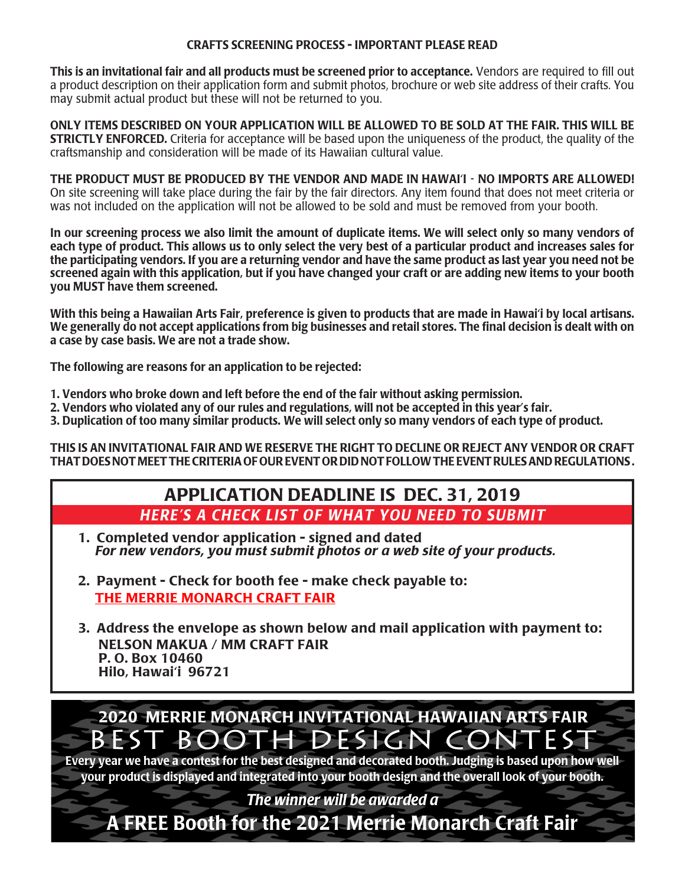## CRAFTS SCREENING PROCESS - IMPORTANT PLEASE READ

This is an invitational fair and all products must be screened prior to acceptance. Vendors are required to fill out a product description on their application form and submit photos, brochure or web site address of their crafts. You may submit actual product but these will not be returned to you.

ONLY ITEMS DESCRIBED ON YOUR APPLICATION WILL BE ALLOWED TO BE SOLD AT THE FAIR. THIS WILL BE **STRICTLY ENFORCED.** Criteria for acceptance will be based upon the uniqueness of the product, the quality of the craftsmanship and consideration will be made of its Hawaiian cultural value.

THE PRODUCT MUST BE PRODUCED BY THE VENDOR AND MADE IN HAWAI'I - NO IMPORTS ARE ALLOWED! On site screening will take place during the fair by the fair directors. Any item found that does not meet criteria or was not included on the application will not be allowed to be sold and must be removed from your booth.

In our screening process we also limit the amount of duplicate items. We will select only so many vendors of each type of product. This allows us to only select the very best of a particular product and increases sales for the participating vendors. If you are a returning vendor and have the same product as last year you need not be screened again with this application, but if you have changed your craft or are adding new items to your booth you MUST have them screened.

With this being a Hawaiian Arts Fair, preference is given to products that are made in Hawai'i by local artisans. We generally do not accept applications from big businesses and retail stores. The final decision is dealt with on a case by case basis. We are not a trade show.

The following are reasons for an application to be rejected:

- 1. Vendors who broke down and left before the end of the fair without asking permission.
- 2. Vendors who violated any of our rules and regulations, will not be accepted in this year's fair.
- 3. Duplication of too many similar products. We will select only so many vendors of each type of product.

THIS IS AN INVITATIONAL FAIR AND WE RESERVE THE RIGHT TO DECLINE OR REJECT ANY VENDOR OR CRAFT THAT DOES NOT MEET THE CRITERIA OF OUR EVENT OR DID NOT FOLLOW THE EVENT RULES AND REGULATIONS .

# APPLICATION DEADLINE IS DEC. 31, 2019 *HERE'S A CHECK LIST OF WHAT YOU NEED TO SUBMIT*

- 1. Completed vendor application signed and dated  *For new vendors, you must submit photos or a web site of your products.*
- 2. Payment Check for booth fee make check payable to: THE MERRIE MONARCH CRAFT FAIR
- 3. Address the envelope as shown below and mail application with payment to: NELSON MAKUA / MM CRAFT FAIR P. O. Box 10460 Hilo, Hawai'i 96721

BEST BOOTH DESIGN CON 2020 MERRIE MONARCH INVITATIONAL HAWAIIAN ARTS FAIR

Every year we have a contest for the best designed and decorated booth. Judging is based upon how well your product is displayed and integrated into your booth design and the overall look of your booth.

*The winner will be awarded a*

A FREE Booth for the 2021 Merrie Monarch Craft Fair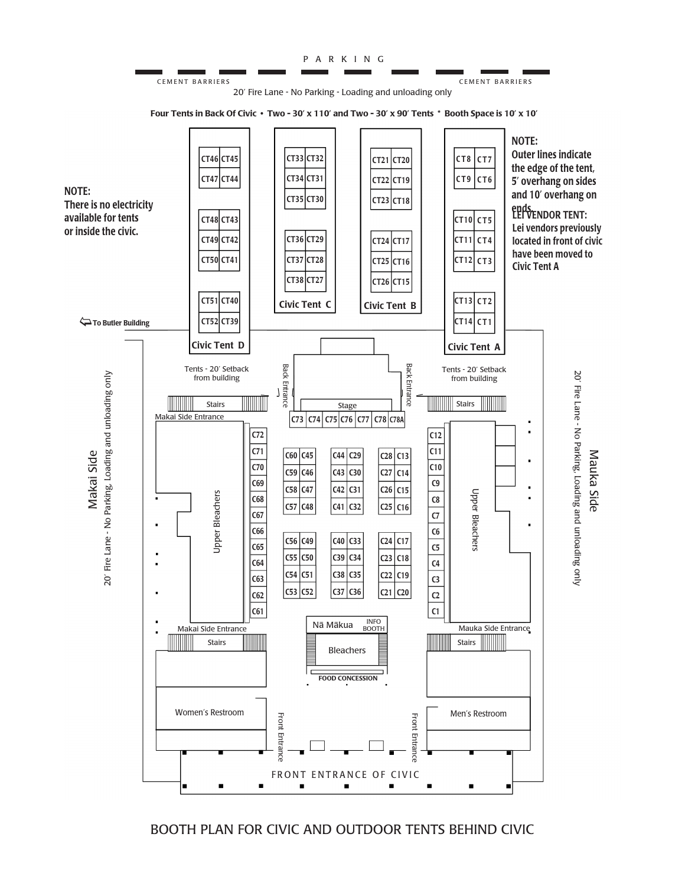

# BOOTH PLAN FOR CIVIC AND OUTDOOR TENTS BEHIND CIVIC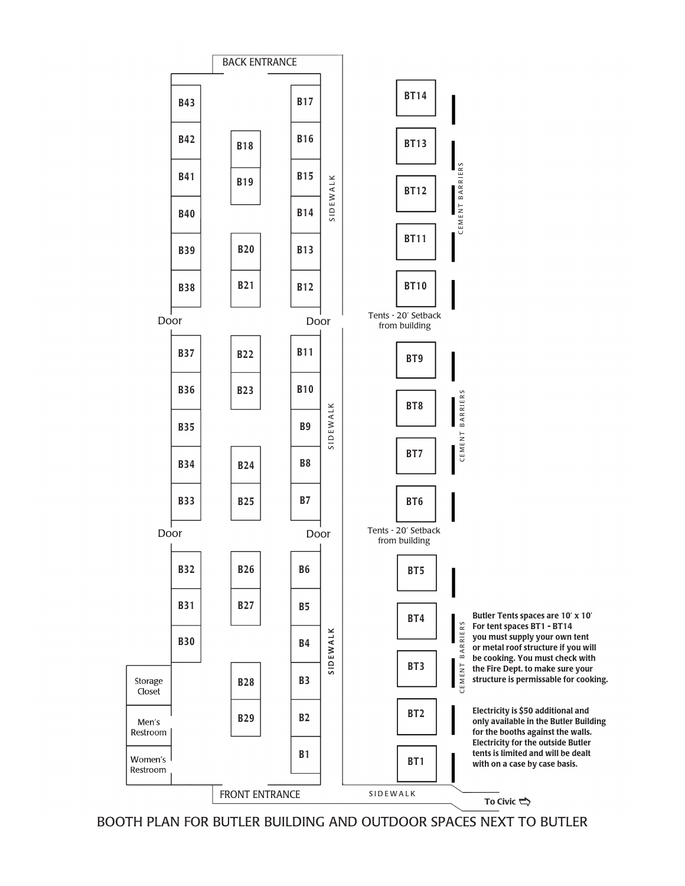

BOOTH PLAN FOR BUTLER BUILDING AND OUTDOOR SPACES NEXT TO BUTLER